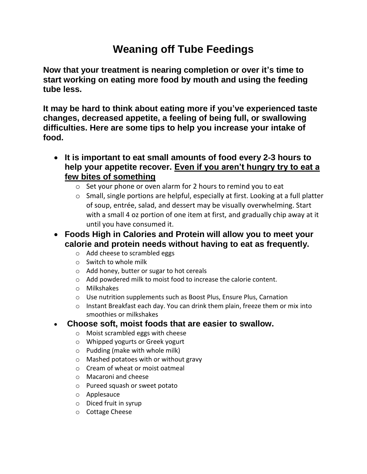## **Weaning off Tube Feedings**

**Now that your treatment is nearing completion or over it's time to start working on eating more food by mouth and using the feeding tube less.**

**It may be hard to think about eating more if you've experienced taste changes, decreased appetite, a feeling of being full, or swallowing difficulties. Here are some tips to help you increase your intake of food.**

- **It is important to eat small amounts of food every 2**‐**3 hours to help your appetite recover. Even if you aren't hungry try to eat a few bites of something**
	- o Set your phone or oven alarm for 2 hours to remind you to eat
	- o Small, single portions are helpful, especially at first. Looking at a full platter of soup, entrée, salad, and dessert may be visually overwhelming. Start with a small 4 oz portion of one item at first, and gradually chip away at it until you have consumed it.
- **Foods High in Calories and Protein will allow you to meet your calorie and protein needs without having to eat as frequently.**
	- o Add cheese to scrambled eggs
	- o Switch to whole milk
	- o Add honey, butter or sugar to hot cereals
	- o Add powdered milk to moist food to increase the calorie content.
	- o Milkshakes
	- o Use nutrition supplements such as Boost Plus, Ensure Plus, Carnation
	- o Instant Breakfast each day. You can drink them plain, freeze them or mix into smoothies or milkshakes

## **Choose soft, moist foods that are easier to swallow.**

- o Moist scrambled eggs with cheese
- o Whipped yogurts or Greek yogurt
- o Pudding (make with whole milk)
- o Mashed potatoes with or without gravy
- o Cream of wheat or moist oatmeal
- o Macaroni and cheese
- o Pureed squash or sweet potato
- o Applesauce
- o Diced fruit in syrup
- o Cottage Cheese